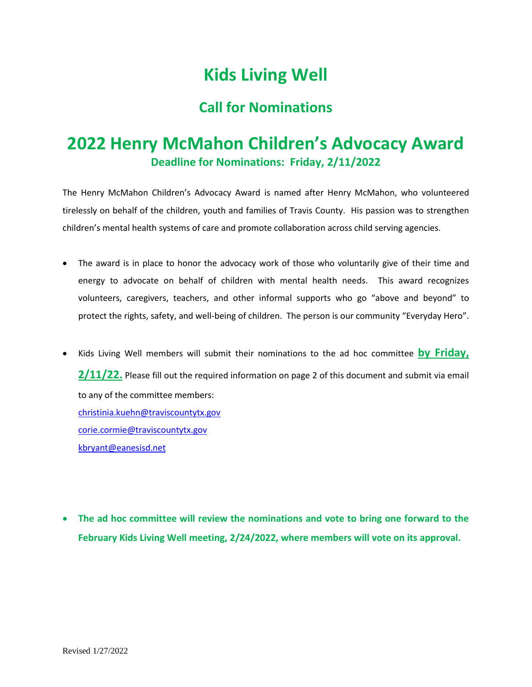## **Kids Living Well**

## **Call for Nominations**

## **2022 Henry McMahon Children's Advocacy Award Deadline for Nominations: Friday, 2/11/2022**

The Henry McMahon Children's Advocacy Award is named after Henry McMahon, who volunteered tirelessly on behalf of the children, youth and families of Travis County. His passion was to strengthen children's mental health systems of care and promote collaboration across child serving agencies.

- The award is in place to honor the advocacy work of those who voluntarily give of their time and energy to advocate on behalf of children with mental health needs. This award recognizes volunteers, caregivers, teachers, and other informal supports who go "above and beyond" to protect the rights, safety, and well-being of children. The person is our community "Everyday Hero".
- Kids Living Well members will submit their nominations to the ad hoc committee **by Friday, 2/11/22.** Please fill out the required information on page 2 of this document and submit via email to any of the committee members: [christinia.kuehn@traviscountytx.gov](mailto:christinia.kuehn@traviscountytx.gov) [corie.cormie@traviscountytx.gov](mailto:corie.cormie@traviscountytx.gov) [kbryant@eanesisd.net](mailto:kbryant@eanesisd.net)
- **The ad hoc committee will review the nominations and vote to bring one forward to the February Kids Living Well meeting, 2/24/2022, where members will vote on its approval.**